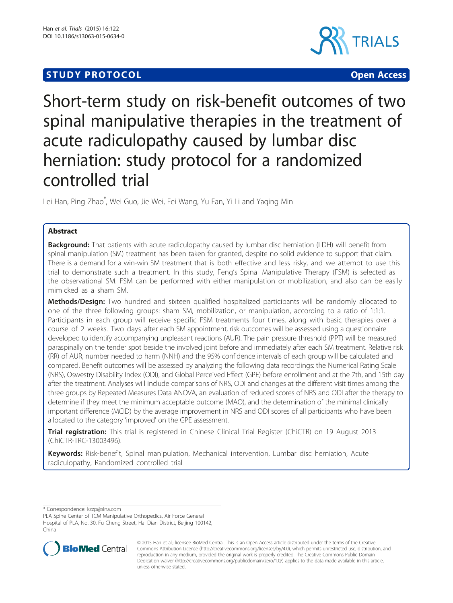# **STUDY PROTOCOL CONSUMING THE RESERVE ACCESS**



# Short-term study on risk-benefit outcomes of two spinal manipulative therapies in the treatment of acute radiculopathy caused by lumbar disc herniation: study protocol for a randomized controlled trial

Lei Han, Ping Zhao\* , Wei Guo, Jie Wei, Fei Wang, Yu Fan, Yi Li and Yaqing Min

# Abstract

**Background:** That patients with acute radiculopathy caused by lumbar disc herniation (LDH) will benefit from spinal manipulation (SM) treatment has been taken for granted, despite no solid evidence to support that claim. There is a demand for a win-win SM treatment that is both effective and less risky, and we attempt to use this trial to demonstrate such a treatment. In this study, Feng's Spinal Manipulative Therapy (FSM) is selected as the observational SM. FSM can be performed with either manipulation or mobilization, and also can be easily mimicked as a sham SM.

**Methods/Design:** Two hundred and sixteen qualified hospitalized participants will be randomly allocated to one of the three following groups: sham SM, mobilization, or manipulation, according to a ratio of 1:1:1. Participants in each group will receive specific FSM treatments four times, along with basic therapies over a course of 2 weeks. Two days after each SM appointment, risk outcomes will be assessed using a questionnaire developed to identify accompanying unpleasant reactions (AUR). The pain pressure threshold (PPT) will be measured paraspinally on the tender spot beside the involved joint before and immediately after each SM treatment. Relative risk (RR) of AUR, number needed to harm (NNH) and the 95% confidence intervals of each group will be calculated and compared. Benefit outcomes will be assessed by analyzing the following data recordings: the Numerical Rating Scale (NRS), Oswestry Disability Index (ODI), and Global Perceived Effect (GPE) before enrollment and at the 7th, and 15th day after the treatment. Analyses will include comparisons of NRS, ODI and changes at the different visit times among the three groups by Repeated Measures Data ANOVA, an evaluation of reduced scores of NRS and ODI after the therapy to determine if they meet the minimum acceptable outcome (MAO), and the determination of the minimal clinically important difference (MCID) by the average improvement in NRS and ODI scores of all participants who have been allocated to the category 'improved' on the GPE assessment.

Trial registration: This trial is registered in Chinese Clinical Trial Register (ChiCTR) on 19 August 2013 ([ChiCTR-TRC-13003496](http://www.chictr.org/cn/proj/show.aspx?proj=5419)).

Keywords: Risk-benefit, Spinal manipulation, Mechanical intervention, Lumbar disc herniation, Acute radiculopathy, Randomized controlled trial

\* Correspondence: [kzzp@sina.com](mailto:kzzp@sina.com)

PLA Spine Center of TCM Manipulative Orthopedics, Air Force General Hospital of PLA, No. 30, Fu Cheng Street, Hai Dian District, Beijing 100142, China



<sup>© 2015</sup> Han et al.; licensee BioMed Central. This is an Open Access article distributed under the terms of the Creative Commons Attribution License [\(http://creativecommons.org/licenses/by/4.0\)](http://creativecommons.org/licenses/by/4.0), which permits unrestricted use, distribution, and reproduction in any medium, provided the original work is properly credited. The Creative Commons Public Domain Dedication waiver [\(http://creativecommons.org/publicdomain/zero/1.0/](http://creativecommons.org/publicdomain/zero/1.0/)) applies to the data made available in this article, unless otherwise stated.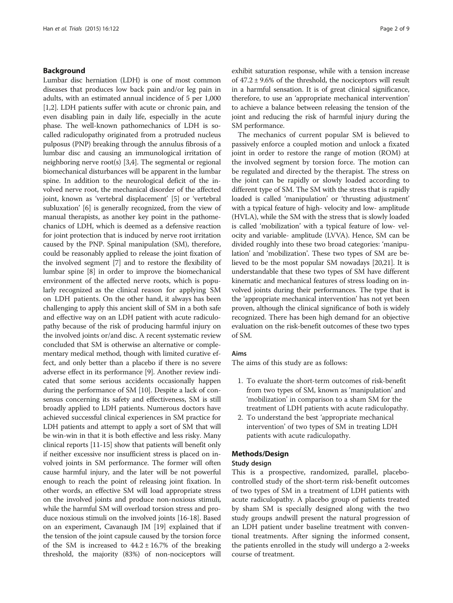# Background

Lumbar disc herniation (LDH) is one of most common diseases that produces low back pain and/or leg pain in adults, with an estimated annual incidence of 5 per 1,000 [[1,2](#page-7-0)]. LDH patients suffer with acute or chronic pain, and even disabling pain in daily life, especially in the acute phase. The well-known pathomechanics of LDH is socalled radiculopathy originated from a protruded nucleus pulposus (PNP) breaking through the annulus fibrosis of a lumbar disc and causing an immunological irritation of neighboring nerve root(s) [\[3,4](#page-7-0)]. The segmental or regional biomechanical disturbances will be apparent in the lumbar spine. In addition to the neurological deficit of the involved nerve root, the mechanical disorder of the affected joint, known as 'vertebral displacement' [\[5](#page-7-0)] or 'vertebral subluxation' [[6\]](#page-7-0) is generally recognized, from the view of manual therapists, as another key point in the pathomechanics of LDH, which is deemed as a defensive reaction for joint protection that is induced by nerve root irritation caused by the PNP. Spinal manipulation (SM), therefore, could be reasonably applied to release the joint fixation of the involved segment [\[7](#page-7-0)] and to restore the flexibility of lumbar spine [\[8](#page-8-0)] in order to improve the biomechanical environment of the affected nerve roots, which is popularly recognized as the clinical reason for applying SM on LDH patients. On the other hand, it always has been challenging to apply this ancient skill of SM in a both safe and effective way on an LDH patient with acute radiculopathy because of the risk of producing harmful injury on the involved joints or/and disc. A recent systematic review concluded that SM is otherwise an alternative or complementary medical method, though with limited curative effect, and only better than a placebo if there is no severe adverse effect in its performance [[9](#page-8-0)]. Another review indicated that some serious accidents occasionally happen during the performance of SM [\[10\]](#page-8-0). Despite a lack of consensus concerning its safety and effectiveness, SM is still broadly applied to LDH patients. Numerous doctors have achieved successful clinical experiences in SM practice for LDH patients and attempt to apply a sort of SM that will be win-win in that it is both effective and less risky. Many clinical reports [[11-15\]](#page-8-0) show that patients will benefit only if neither excessive nor insufficient stress is placed on involved joints in SM performance. The former will often cause harmful injury, and the later will be not powerful enough to reach the point of releasing joint fixation. In other words, an effective SM will load appropriate stress on the involved joints and produce non-noxious stimuli, while the harmful SM will overload torsion stress and produce noxious stimuli on the involved joints [\[16-18](#page-8-0)]. Based on an experiment, Cavanaugh JM [\[19](#page-8-0)] explained that if the tension of the joint capsule caused by the torsion force of the SM is increased to  $44.2 \pm 16.7\%$  of the breaking threshold, the majority (83%) of non-nociceptors will

exhibit saturation response, while with a tension increase of 47.2 ± 9.6% of the threshold, the nociceptors will result in a harmful sensation. It is of great clinical significance, therefore, to use an 'appropriate mechanical intervention' to achieve a balance between releasing the tension of the joint and reducing the risk of harmful injury during the SM performance.

The mechanics of current popular SM is believed to passively enforce a coupled motion and unlock a fixated joint in order to restore the range of motion (ROM) at the involved segment by torsion force. The motion can be regulated and directed by the therapist. The stress on the joint can be rapidly or slowly loaded according to different type of SM. The SM with the stress that is rapidly loaded is called 'manipulation' or 'thrusting adjustment' with a typical feature of high- velocity and low- amplitude (HVLA), while the SM with the stress that is slowly loaded is called 'mobilization' with a typical feature of low- velocity and variable- amplitude (LVVA). Hence, SM can be divided roughly into these two broad categories: 'manipulation' and 'mobilization'. These two types of SM are believed to be the most popular SM nowadays [[20,21\]](#page-8-0). It is understandable that these two types of SM have different kinematic and mechanical features of stress loading on involved joints during their performances. The type that is the 'appropriate mechanical intervention' has not yet been proven, although the clinical significance of both is widely recognized. There has been high demand for an objective evaluation on the risk-benefit outcomes of these two types of SM.

#### Aims

The aims of this study are as follows:

- 1. To evaluate the short-term outcomes of risk-benefit from two types of SM, known as 'manipulation' and 'mobilization' in comparison to a sham SM for the treatment of LDH patients with acute radiculopathy.
- 2. To understand the best 'appropriate mechanical intervention' of two types of SM in treating LDH patients with acute radiculopathy.

# Methods/Design

#### Study design

This is a prospective, randomized, parallel, placebocontrolled study of the short-term risk-benefit outcomes of two types of SM in a treatment of LDH patients with acute radiculopathy. A placebo group of patients treated by sham SM is specially designed along with the two study groups andwill present the natural progression of an LDH patient under baseline treatment with conventional treatments. After signing the informed consent, the patients enrolled in the study will undergo a 2-weeks course of treatment.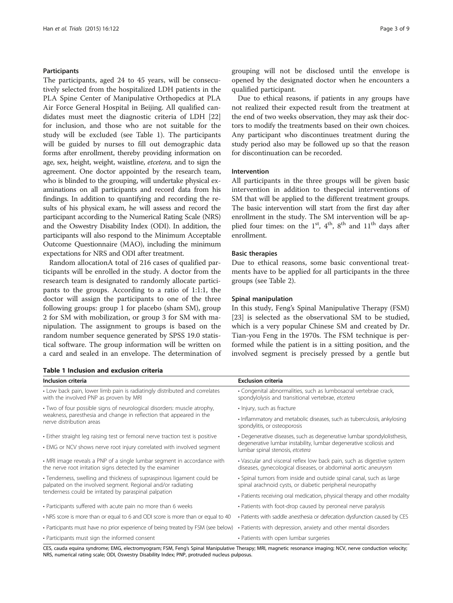#### **Participants**

The participants, aged 24 to 45 years, will be consecutively selected from the hospitalized LDH patients in the PLA Spine Center of Manipulative Orthopedics at PLA Air Force General Hospital in Beijing. All qualified candidates must meet the diagnostic criteria of LDH [[22](#page-8-0)] for inclusion, and those who are not suitable for the study will be excluded (see Table 1). The participants will be guided by nurses to fill out demographic data forms after enrollment, thereby providing information on age, sex, height, weight, waistline, etcetera, and to sign the agreement. One doctor appointed by the research team, who is blinded to the grouping, will undertake physical examinations on all participants and record data from his findings. In addition to quantifying and recording the results of his physical exam, he will assess and record the participant according to the Numerical Rating Scale (NRS) and the Oswestry Disability Index (ODI). In addition, the participants will also respond to the Minimum Acceptable Outcome Questionnaire (MAO), including the minimum expectations for NRS and ODI after treatment.

Random allocationA total of 216 cases of qualified participants will be enrolled in the study. A doctor from the research team is designated to randomly allocate participants to the groups. According to a ratio of 1:1:1, the doctor will assign the participants to one of the three following groups: group 1 for placebo (sham SM), group 2 for SM with mobilization, or group 3 for SM with manipulation. The assignment to groups is based on the random number sequence generated by SPSS 19.0 statistical software. The group information will be written on a card and sealed in an envelope. The determination of

| Table 1 Inclusion and exclusion criteria |  |
|------------------------------------------|--|
|------------------------------------------|--|

grouping will not be disclosed until the envelope is opened by the designated doctor when he encounters a qualified participant.

Due to ethical reasons, if patients in any groups have not realized their expected result from the treatment at the end of two weeks observation, they may ask their doctors to modify the treatments based on their own choices. Any participant who discontinues treatment during the study period also may be followed up so that the reason for discontinuation can be recorded.

#### Intervention

All participants in the three groups will be given basic intervention in addition to thespecial interventions of SM that will be applied to the different treatment groups. The basic intervention will start from the first day after enrollment in the study. The SM intervention will be applied four times: on the  $1<sup>st</sup>$ ,  $4<sup>th</sup>$ ,  $8<sup>th</sup>$  and  $11<sup>th</sup>$  days after enrollment.

#### Basic therapies

Due to ethical reasons, some basic conventional treatments have to be applied for all participants in the three groups (see Table [2\)](#page-3-0).

#### Spinal manipulation

In this study, Feng's Spinal Manipulative Therapy (FSM) [[23\]](#page-8-0) is selected as the observational SM to be studied, which is a very popular Chinese SM and created by Dr. Tian-you Feng in the 1970s. The FSM technique is performed while the patient is in a sitting position, and the involved segment is precisely pressed by a gentle but

| Inclusion criteria                                                                                                                                                         | <b>Exclusion criteria</b>                                                                                                                |
|----------------------------------------------------------------------------------------------------------------------------------------------------------------------------|------------------------------------------------------------------------------------------------------------------------------------------|
| • Low back pain, lower limb pain is radiatingly distributed and correlates<br>with the involved PNP as proven by MRI                                                       | • Congenital abnormalities, such as lumbosacral vertebrae crack,<br>spondylolysis and transitional vertebrae, etcetera                   |
| • Two of four possible signs of neurological disorders: muscle atrophy,<br>weakness, paresthesia and change in reflection that appeared in the<br>nerve distribution areas | • Injury, such as fracture                                                                                                               |
|                                                                                                                                                                            | • Inflammatory and metabolic diseases, such as tuberculosis, ankylosing<br>spondylitis, or osteoporosis                                  |
| • Either straight leg raising test or femoral nerve traction test is positive                                                                                              | • Degenerative diseases, such as degenerative lumbar spondylolisthesis,                                                                  |
| • EMG or NCV shows nerve root injury correlated with involved segment                                                                                                      | degenerative lumbar instability, lumbar degenerative scoliosis and<br>lumbar spinal stenosis, etcetera                                   |
| • MRI image reveals a PNP of a single lumbar segment in accordance with<br>the nerve root irritation signs detected by the examiner                                        | • Vascular and visceral reflex low back pain, such as digestive system<br>diseases, gynecological diseases, or abdominal aortic aneurysm |
| • Tenderness, swelling and thickness of supraspinous ligament could be<br>palpated on the involved segment. Regional and/or radiating                                      | • Spinal tumors from inside and outside spinal canal, such as large<br>spinal arachnoid cysts, or diabetic peripheral neuropathy         |
| tenderness could be irritated by paraspinal palpation                                                                                                                      | • Patients receiving oral medication, physical therapy and other modality                                                                |
| • Participants suffered with acute pain no more than 6 weeks                                                                                                               | • Patients with foot-drop caused by peroneal nerve paralysis                                                                             |
| . NRS score is more than or equal to 6 and ODI score is more than or equal to 40                                                                                           | . Patients with saddle anesthesia or defecation dysfunction caused by CES                                                                |
| • Participants must have no prior experience of being treated by FSM (see below)                                                                                           | • Patients with depression, anxiety and other mental disorders                                                                           |
| • Participants must sign the informed consent                                                                                                                              | • Patients with open lumbar surgeries                                                                                                    |

CES, cauda equina syndrome; EMG, electromyogram; FSM, Feng's Spinal Manipulative Therapy; MRI, magnetic resonance imaging; NCV, nerve conduction velocity; NRS, numerical rating scale; ODI, Oswestry Disability Index; PNP, protruded nucleus pulposus.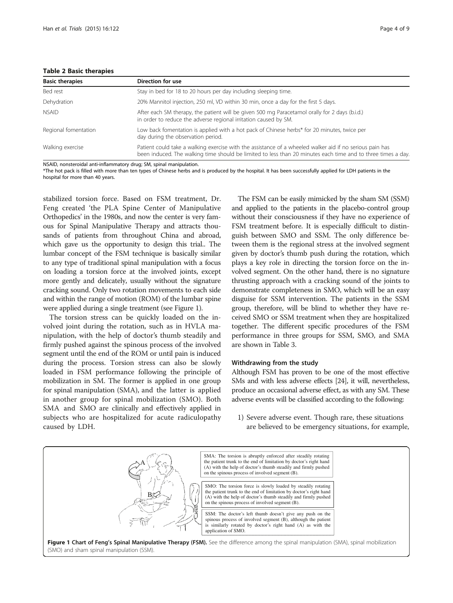<span id="page-3-0"></span>

| <b>Basic therapies</b> | Direction for use                                                                                                                                                                                                        |
|------------------------|--------------------------------------------------------------------------------------------------------------------------------------------------------------------------------------------------------------------------|
| Bed rest               | Stay in bed for 18 to 20 hours per day including sleeping time.                                                                                                                                                          |
| Dehydration            | 20% Mannitol injection, 250 ml, VD within 30 min, once a day for the first 5 days.                                                                                                                                       |
| <b>NSAID</b>           | After each SM therapy, the patient will be given 500 mg Paracetamol orally for 2 days (b.i.d.)<br>in order to reduce the adverse regional irritation caused by SM.                                                       |
| Regional fomentation   | Low back fomentation is applied with a hot pack of Chinese herbs* for 20 minutes, twice per<br>day during the observation period.                                                                                        |
| Walking exercise       | Patient could take a walking exercise with the assistance of a wheeled walker aid if no serious pain has<br>been induced. The walking time should be limited to less than 20 minutes each time and to three times a day. |

NSAID, nonsteroidal anti-inflammatory drug; SM, spinal manipulation.

\*The hot pack is filled with more than ten types of Chinese herbs and is produced by the hospital. It has been successfully applied for LDH patients in the hospital for more than 40 years.

stabilized torsion force. Based on FSM treatment, Dr. Feng created 'the PLA Spine Center of Manipulative Orthopedics' in the 1980s, and now the center is very famous for Spinal Manipulative Therapy and attracts thousands of patients from throughout China and abroad, which gave us the opportunity to design this trial.. The lumbar concept of the FSM technique is basically similar to any type of traditional spinal manipulation with a focus on loading a torsion force at the involved joints, except more gently and delicately, usually without the signature cracking sound. Only two rotation movements to each side and within the range of motion (ROM) of the lumbar spine were applied during a single treatment (see Figure 1).

The torsion stress can be quickly loaded on the involved joint during the rotation, such as in HVLA manipulation, with the help of doctor's thumb steadily and firmly pushed against the spinous process of the involved segment until the end of the ROM or until pain is induced during the process. Torsion stress can also be slowly loaded in FSM performance following the principle of mobilization in SM. The former is applied in one group for spinal manipulation (SMA), and the latter is applied in another group for spinal mobilization (SMO). Both SMA and SMO are clinically and effectively applied in subjects who are hospitalized for acute radiculopathy caused by LDH.

The FSM can be easily mimicked by the sham SM (SSM) and applied to the patients in the placebo-control group without their consciousness if they have no experience of FSM treatment before. It is especially difficult to distinguish between SMO and SSM. The only difference between them is the regional stress at the involved segment given by doctor's thumb push during the rotation, which plays a key role in directing the torsion force on the involved segment. On the other hand, there is no signature thrusting approach with a cracking sound of the joints to demonstrate completeness in SMO, which will be an easy disguise for SSM intervention. The patients in the SSM group, therefore, will be blind to whether they have received SMO or SSM treatment when they are hospitalized together. The different specific procedures of the FSM performance in three groups for SSM, SMO, and SMA are shown in Table [3.](#page-4-0)

# Withdrawing from the study

Although FSM has proven to be one of the most effective SMs and with less adverse effects [[24](#page-8-0)], it will, nevertheless, produce an occasional adverse effect, as with any SM. These adverse events will be classified according to the following:

1) Severe adverse event. Though rare, these situations are believed to be emergency situations, for example,

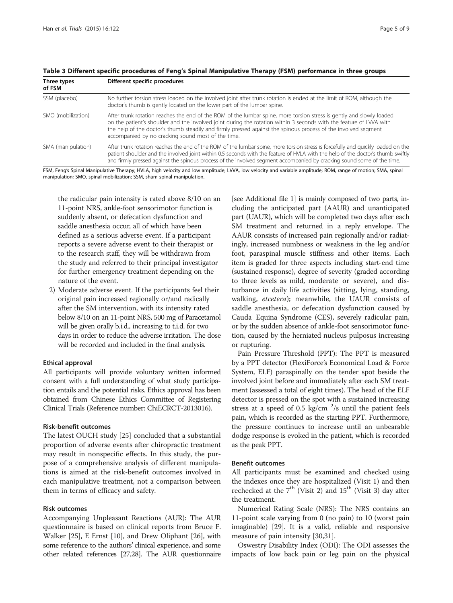| No further torsion stress loaded on the involved joint after trunk rotation is ended at the limit of ROM, although the                                                                                                                                                                                                                                                                                             |
|--------------------------------------------------------------------------------------------------------------------------------------------------------------------------------------------------------------------------------------------------------------------------------------------------------------------------------------------------------------------------------------------------------------------|
| doctor's thumb is gently located on the lower part of the lumbar spine.                                                                                                                                                                                                                                                                                                                                            |
| After trunk rotation reaches the end of the ROM of the lumbar spine, more torsion stress is gently and slowly loaded<br>on the patient's shoulder and the involved joint during the rotation within 3 seconds with the feature of LWA with<br>the help of the doctor's thumb steadily and firmly pressed against the spinous process of the involved segment<br>accompanied by no cracking sound most of the time. |
| After trunk rotation reaches the end of the ROM of the lumbar spine, more torsion stress is forcefully and quickly loaded on the<br>patient shoulder and the involved joint within 0.5 seconds with the feature of HVLA with the help of the doctor's thumb swiftly<br>and firmly pressed against the spinous process of the involved segment accompanied by cracking sound some of the time.                      |
|                                                                                                                                                                                                                                                                                                                                                                                                                    |

<span id="page-4-0"></span>Table 3 Different specific procedures of Feng's Spinal Manipulative Therapy (FSM) performance in three groups

FSM, Feng's Spinal Manipulative Therapy; HVLA, high velocity and low amplitude; LVVA, low velocity and variable amplitude; ROM, range of motion; SMA, spinal manipulation; SMO, spinal mobilization; SSM, sham spinal manipulation.

the radicular pain intensity is rated above 8/10 on an 11-point NRS, ankle-foot sensorimotor function is suddenly absent, or defecation dysfunction and saddle anesthesia occur, all of which have been defined as a serious adverse event. If a participant reports a severe adverse event to their therapist or to the research staff, they will be withdrawn from the study and referred to their principal investigator for further emergency treatment depending on the nature of the event.

2) Moderate adverse event. If the participants feel their original pain increased regionally or/and radically after the SM intervention, with its intensity rated below 8/10 on an 11-point NRS, 500 mg of Paracetamol will be given orally b.i.d., increasing to t.i.d. for two days in order to reduce the adverse irritation. The dose will be recorded and included in the final analysis.

# Ethical approval

All participants will provide voluntary written informed consent with a full understanding of what study participation entails and the potential risks. Ethics approval has been obtained from Chinese Ethics Committee of Registering Clinical Trials (Reference number: ChiECRCT-2013016).

# Risk-benefit outcomes

The latest OUCH study [[25\]](#page-8-0) concluded that a substantial proportion of adverse events after chiropractic treatment may result in nonspecific effects. In this study, the purpose of a comprehensive analysis of different manipulations is aimed at the risk-benefit outcomes involved in each manipulative treatment, not a comparison between them in terms of efficacy and safety.

# Risk outcomes

Accompanying Unpleasant Reactions (AUR): The AUR questionnaire is based on clinical reports from Bruce F. Walker [\[25\]](#page-8-0), E Ernst [[10\]](#page-8-0), and Drew Oliphant [\[26\]](#page-8-0), with some reference to the authors' clinical experience, and some other related references [[27,28](#page-8-0)]. The AUR questionnaire

[see Additional file [1](#page-7-0)] is mainly composed of two parts, including the anticipated part (AAUR) and unanticipated part (UAUR), which will be completed two days after each SM treatment and returned in a reply envelope. The AAUR consists of increased pain regionally and/or radiatingly, increased numbness or weakness in the leg and/or foot, paraspinal muscle stiffness and other items. Each item is graded for three aspects including start-end time (sustained response), degree of severity (graded according to three levels as mild, moderate or severe), and disturbance in daily life activities (sitting, lying, standing, walking, etcetera); meanwhile, the UAUR consists of saddle anesthesia, or defecation dysfunction caused by Cauda Equina Syndrome (CES), severely radicular pain, or by the sudden absence of ankle-foot sensorimotor function, caused by the herniated nucleus pulposus increasing or rupturing.

Pain Pressure Threshold (PPT): The PPT is measured by a PPT detector (FlexiForce's Economical Load & Force System, ELF) paraspinally on the tender spot beside the involved joint before and immediately after each SM treatment (assessed a total of eight times). The head of the ELF detector is pressed on the spot with a sustained increasing stress at a speed of 0.5 kg/cm  $2$ /s until the patient feels pain, which is recorded as the starting PPT. Furthermore, the pressure continues to increase until an unbearable dodge response is evoked in the patient, which is recorded as the peak PPT.

# Benefit outcomes

All participants must be examined and checked using the indexes once they are hospitalized (Visit 1) and then rechecked at the  $7<sup>th</sup>$  (Visit 2) and  $15<sup>th</sup>$  (Visit 3) day after the treatment.

Numerical Rating Scale (NRS): The NRS contains an 11-point scale varying from 0 (no pain) to 10 (worst pain imaginable) [[29](#page-8-0)]. It is a valid, reliable and responsive measure of pain intensity [\[30,31](#page-8-0)].

Oswestry Disability Index (ODI): The ODI assesses the impacts of low back pain or leg pain on the physical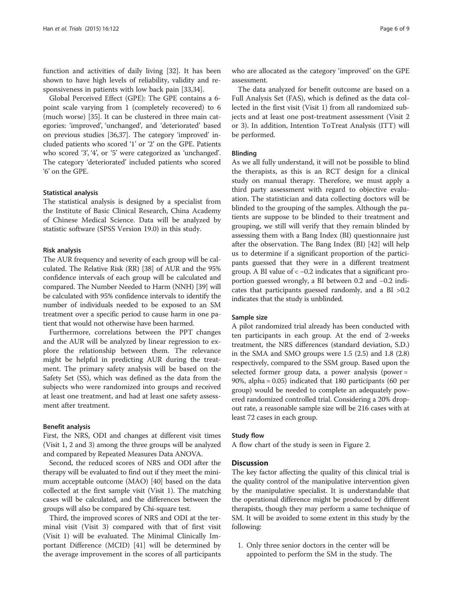function and activities of daily living [\[32\]](#page-8-0). It has been shown to have high levels of reliability, validity and responsiveness in patients with low back pain [[33](#page-8-0),[34](#page-8-0)].

Global Perceived Effect (GPE): The GPE contains a 6 point scale varying from 1 (completely recovered) to 6 (much worse) [\[35\]](#page-8-0). It can be clustered in three main categories: 'improved', 'unchanged', and 'deteriorated' based on previous studies [\[36,37\]](#page-8-0). The category 'improved' included patients who scored '1' or '2' on the GPE. Patients who scored '3', '4', or '5' were categorized as 'unchanged'. The category 'deteriorated' included patients who scored '6' on the GPE.

# Statistical analysis

The statistical analysis is designed by a specialist from the Institute of Basic Clinical Research, China Academy of Chinese Medical Science. Data will be analyzed by statistic software (SPSS Version 19.0) in this study.

#### Risk analysis

The AUR frequency and severity of each group will be calculated. The Relative Risk (RR) [[38](#page-8-0)] of AUR and the 95% confidence intervals of each group will be calculated and compared. The Number Needed to Harm (NNH) [[39](#page-8-0)] will be calculated with 95% confidence intervals to identify the number of individuals needed to be exposed to an SM treatment over a specific period to cause harm in one patient that would not otherwise have been harmed.

Furthermore, correlations between the PPT changes and the AUR will be analyzed by linear regression to explore the relationship between them. The relevance might be helpful in predicting AUR during the treatment. The primary safety analysis will be based on the Safety Set (SS), which was defined as the data from the subjects who were randomized into groups and received at least one treatment, and had at least one safety assessment after treatment.

#### Benefit analysis

First, the NRS, ODI and changes at different visit times (Visit 1, 2 and 3) among the three groups will be analyzed and compared by Repeated Measures Data ANOVA.

Second, the reduced scores of NRS and ODI after the therapy will be evaluated to find out if they meet the minimum acceptable outcome (MAO) [\[40](#page-8-0)] based on the data collected at the first sample visit (Visit 1). The matching cases will be calculated, and the differences between the groups will also be compared by Chi-square test.

Third, the improved scores of NRS and ODI at the terminal visit (Visit 3) compared with that of first visit (Visit 1) will be evaluated. The Minimal Clinically Important Difference (MCID) [[41\]](#page-8-0) will be determined by the average improvement in the scores of all participants who are allocated as the category 'improved' on the GPE assessment.

The data analyzed for benefit outcome are based on a Full Analysis Set (FAS), which is defined as the data collected in the first visit (Visit 1) from all randomized subjects and at least one post-treatment assessment (Visit 2 or 3). In addition, Intention ToTreat Analysis (ITT) will be performed.

# Blinding

As we all fully understand, it will not be possible to blind the therapists, as this is an RCT design for a clinical study on manual therapy. Therefore, we must apply a third party assessment with regard to objective evaluation. The statistician and data collecting doctors will be blinded to the grouping of the samples. Although the patients are suppose to be blinded to their treatment and grouping, we still will verify that they remain blinded by assessing them with a Bang Index (BI) questionnaire just after the observation. The Bang Index (BI) [\[42\]](#page-8-0) will help us to determine if a significant proportion of the participants guessed that they were in a different treatment group. A BI value of  $<-0.2$  indicates that a significant proportion guessed wrongly, a BI between 0.2 and −0.2 indicates that participants guessed randomly, and a BI >0.2 indicates that the study is unblinded.

#### Sample size

A pilot randomized trial already has been conducted with ten participants in each group. At the end of 2-weeks treatment, the NRS differences (standard deviation, S.D.) in the SMA and SMO groups were 1.5 (2.5) and 1.8 (2.8) respectively, compared to the SSM group. Based upon the selected former group data, a power analysis (power = 90%, alpha = 0.05) indicated that 180 participants (60 per group) would be needed to complete an adequately powered randomized controlled trial. Considering a 20% dropout rate, a reasonable sample size will be 216 cases with at least 72 cases in each group.

#### Study flow

A flow chart of the study is seen in Figure [2](#page-6-0).

#### **Discussion**

The key factor affecting the quality of this clinical trial is the quality control of the manipulative intervention given by the manipulative specialist. It is understandable that the operational difference might be produced by different therapists, though they may perform a same technique of SM. It will be avoided to some extent in this study by the following:

1. Only three senior doctors in the center will be appointed to perform the SM in the study. The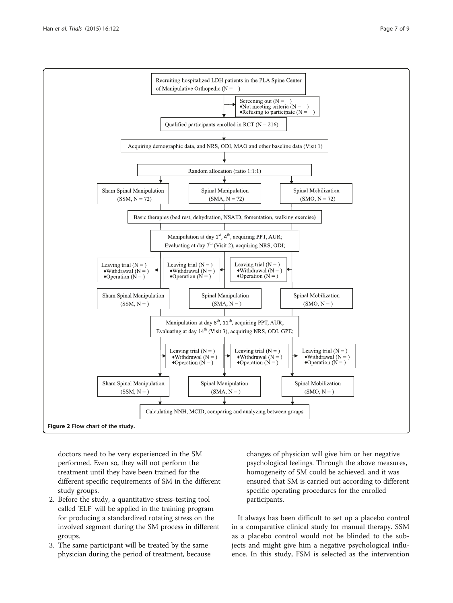<span id="page-6-0"></span>

doctors need to be very experienced in the SM performed. Even so, they will not perform the treatment until they have been trained for the different specific requirements of SM in the different study groups.

- 2. Before the study, a quantitative stress-testing tool called 'ELF' will be applied in the training program for producing a standardized rotating stress on the involved segment during the SM process in different groups.
- 3. The same participant will be treated by the same physician during the period of treatment, because

changes of physician will give him or her negative psychological feelings. Through the above measures, homogeneity of SM could be achieved, and it was ensured that SM is carried out according to different specific operating procedures for the enrolled participants.

It always has been difficult to set up a placebo control in a comparative clinical study for manual therapy. SSM as a placebo control would not be blinded to the subjects and might give him a negative psychological influence. In this study, FSM is selected as the intervention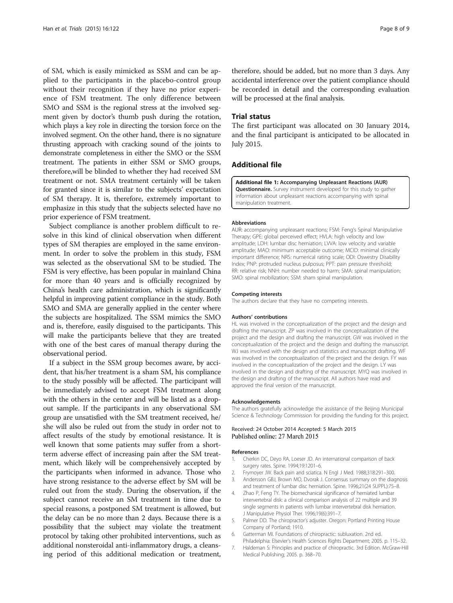<span id="page-7-0"></span>of SM, which is easily mimicked as SSM and can be applied to the participants in the placebo-control group without their recognition if they have no prior experience of FSM treatment. The only difference between SMO and SSM is the regional stress at the involved segment given by doctor's thumb push during the rotation, which plays a key role in directing the torsion force on the involved segment. On the other hand, there is no signature thrusting approach with cracking sound of the joints to demonstrate completeness in either the SMO or the SSM treatment. The patients in either SSM or SMO groups, therefore,will be blinded to whether they had received SM treatment or not. SMA treatment certainly will be taken for granted since it is similar to the subjects' expectation of SM therapy. It is, therefore, extremely important to emphasize in this study that the subjects selected have no prior experience of FSM treatment.

Subject compliance is another problem difficult to resolve in this kind of clinical observation when different types of SM therapies are employed in the same environment. In order to solve the problem in this study, FSM was selected as the observational SM to be studied. The FSM is very effective, has been popular in mainland China for more than 40 years and is officially recognized by China's health care administration, which is significantly helpful in improving patient compliance in the study. Both SMO and SMA are generally applied in the center where the subjects are hospitalized. The SSM mimics the SMO and is, therefore, easily disguised to the participants. This will make the participants believe that they are treated with one of the best cares of manual therapy during the observational period.

If a subject in the SSM group becomes aware, by accident, that his/her treatment is a sham SM, his compliance to the study possibly will be affected. The participant will be immediately advised to accept FSM treatment along with the others in the center and will be listed as a dropout sample. If the participants in any observational SM group are unsatisfied with the SM treatment received, he/ she will also be ruled out from the study in order not to affect results of the study by emotional resistance. It is well known that some patients may suffer from a shortterm adverse effect of increasing pain after the SM treatment, which likely will be comprehensively accepted by the participants when informed in advance. Those who have strong resistance to the adverse effect by SM will be ruled out from the study. During the observation, if the subject cannot receive an SM treatment in time due to special reasons, a postponed SM treatment is allowed, but the delay can be no more than 2 days. Because there is a possibility that the subject may violate the treatment protocol by taking other prohibited interventions, such as additional nonsteroidal anti-inflammatory drugs, a cleansing period of this additional medication or treatment, therefore, should be added, but no more than 3 days. Any accidental interference over the patient compliance should be recorded in detail and the corresponding evaluation will be processed at the final analysis.

# Trial status

The first participant was allocated on 30 January 2014, and the final participant is anticipated to be allocated in July 2015.

# Additional file

[Additional file 1:](http://www.trialsjournal.com/content/supplementary/s13063-015-0634-0-s1.pdf) Accompanying Unpleasant Reactions (AUR) **Questionnaire.** Survey instrument developed for this study to gather information about unpleasant reactions accompanying with spinal manipulation treatment.

#### Abbreviations

AUR: accompanying unpleasant reactions; FSM: Feng's Spinal Manipulative Therapy; GPE: global perceived effect; HVLA: high velocity and low amplitude; LDH: lumbar disc herniation; LVVA: low velocity and variable amplitude; MAO: minimum acceptable outcome; MCID: minimal clinically important difference; NRS: numerical rating scale; ODI: Oswestry Disability Index; PNP: protruded nucleus pulposus; PPT: pain pressure threshold; RR: relative risk; NNH: number needed to harm; SMA: spinal manipulation; SMO: spinal mobilization; SSM: sham spinal manipulation.

#### Competing interests

The authors declare that they have no competing interests.

#### Authors' contributions

HL was involved in the conceptualization of the project and the design and drafting the manuscript. ZP was involved in the conceptualization of the project and the design and drafting the manuscript. GW was involved in the conceptualization of the project and the design and drafting the manuscript. WJ was involved with the design and statistics and manuscript drafting. WF was involved in the conceptualization of the project and the design. FY was involved in the conceptualization of the project and the design. LY was involved in the design and drafting of the manuscript. MYQ was involved in the design and drafting of the manuscript. All authors have read and approved the final version of the manuscript.

#### Acknowledgements

The authors gratefully acknowledge the assistance of the Beijing Municipal Science & Technology Commission for providing the funding for this project.

#### Received: 24 October 2014 Accepted: 5 March 2015 Published online: 27 March 2015

#### References

- 1. Cherkin DC, Deyo RA, Loeser JD. An international comparison of back surgery rates. Spine. 1994;19:1201–6.
- 2. Frymoyer JW. Back pain and sciatica. N Engl J Med. 1988;318:291–300.
- Andersson GBJ, Brown MO, Dvorak J. Consensus summary on the diagnosis and treatment of lumbar disc herniation. Spine. 1996;21(24 SUPPL):75–8.
- 4. Zhao P, Feng TY. The biomechanical significance of herniated lumbar intervertebral disk: a clinical comparison analysis of 22 multiple and 39 single segments in patients with lumbar intervertebral disk herniation. J Manipulative Physiol Ther. 1996;19(6):391–7.
- 5. Palmer DD. The chiropractor's adjuster. Oregon: Portland Printing House Company of Portland; 1910.
- 6. Gatterman MI. Foundations of chiropractic: subluxation. 2nd ed. Philadelphia: Elsevier's Health Sciences Rights Department; 2005. p. 115–32.
- 7. Haldeman S: Principles and practice of chiropractic. 3rd Edition. McGraw-Hill Medical Publishing; 2005. p. 368–70.